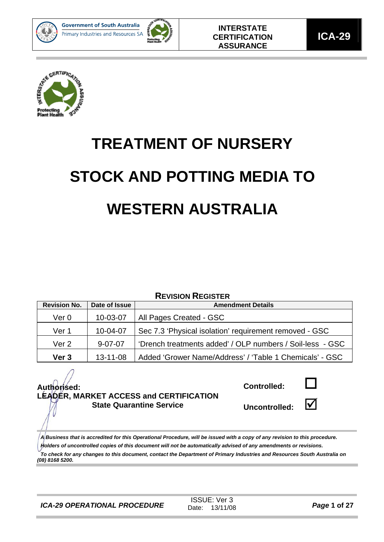



**ICA-29** 



# **TREATMENT OF NURSERY STOCK AND POTTING MEDIA TO WESTERN AUSTRALIA**

#### **REVISION REGISTER**

| <b>Revision No.</b> | Date of Issue                                                              | <b>Amendment Details</b>                                |
|---------------------|----------------------------------------------------------------------------|---------------------------------------------------------|
| Ver 0               | 10-03-07                                                                   | All Pages Created - GSC                                 |
| Ver 1               | 10-04-07                                                                   | Sec 7.3 'Physical isolation' requirement removed - GSC  |
| Ver <sub>2</sub>    | 'Drench treatments added' / OLP numbers / Soil-less - GSC<br>$9 - 07 - 07$ |                                                         |
| Ver <sub>3</sub>    | $13 - 11 - 08$                                                             | Added 'Grower Name/Address' / 'Table 1 Chemicals' - GSC |

#### **Authorised: LEADER, MARKET ACCESS and CERTIFICATION State Quarantine Service**

**Controlled:** 



Uncontrolled:  $\blacksquare$ 



*A Business that is accredited for this Operational Procedure, will be issued with a copy of any revision to this procedure. Holders of uncontrolled copies of this document will not be automatically advised of any amendments or revisions.* 

*To check for any changes to this document, contact the Department of Primary Industries and Resources South Australia on (08) 8168 5200.*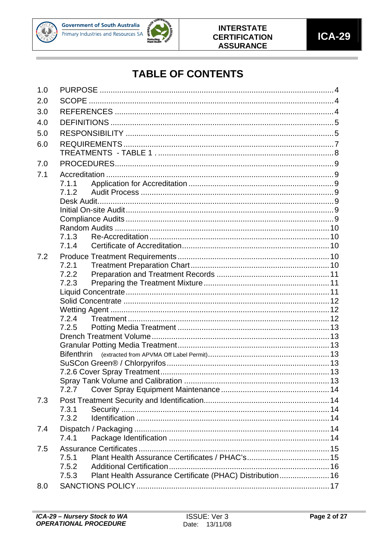



## **TABLE OF CONTENTS**

| 1.0 |                                                                    |  |
|-----|--------------------------------------------------------------------|--|
| 2.0 |                                                                    |  |
| 3.0 |                                                                    |  |
| 4.0 |                                                                    |  |
| 5.0 |                                                                    |  |
| 6.0 |                                                                    |  |
|     |                                                                    |  |
| 7.0 |                                                                    |  |
|     |                                                                    |  |
| 7.1 | 7.1.1                                                              |  |
|     | 7.1.2                                                              |  |
|     |                                                                    |  |
|     |                                                                    |  |
|     |                                                                    |  |
|     |                                                                    |  |
|     | 7.1.3                                                              |  |
|     | 7.1.4                                                              |  |
| 7.2 |                                                                    |  |
|     | 7.2.1                                                              |  |
|     | 7.2.2                                                              |  |
|     | 7.2.3                                                              |  |
|     |                                                                    |  |
|     |                                                                    |  |
|     |                                                                    |  |
|     | 7.2.4                                                              |  |
|     | 7.2.5                                                              |  |
|     |                                                                    |  |
|     |                                                                    |  |
|     | <b>Bifenthrin</b>                                                  |  |
|     |                                                                    |  |
|     |                                                                    |  |
|     | 7.2.7                                                              |  |
|     |                                                                    |  |
| 7.3 | 7.3.1                                                              |  |
|     | 7.3.2                                                              |  |
|     |                                                                    |  |
| 7.4 | 7.4.1                                                              |  |
|     |                                                                    |  |
| 7.5 |                                                                    |  |
|     | 7.5.1<br>7.5.2                                                     |  |
|     | Plant Health Assurance Certificate (PHAC) Distribution 16<br>7.5.3 |  |
|     |                                                                    |  |
| 8.0 |                                                                    |  |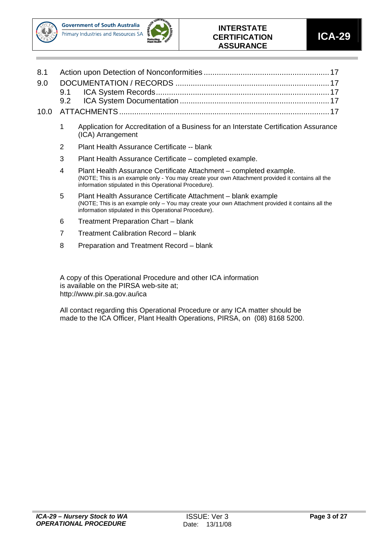



#### **INTERSTATE CERTIFICATION ASSURANCE**

- 1 Application for Accreditation of a Business for an Interstate Certification Assurance (ICA) Arrangement
- 2 Plant Health Assurance Certificate -- blank
- 3 Plant Health Assurance Certificate completed example.
- 4 Plant Health Assurance Certificate Attachment completed example. (NOTE; This is an example only - You may create your own Attachment provided it contains all the information stipulated in this Operational Procedure).
- 5 Plant Health Assurance Certificate Attachment blank example (NOTE; This is an example only – You may create your own Attachment provided it contains all the information stipulated in this Operational Procedure).
- 6 Treatment Preparation Chart blank
- 7 Treatment Calibration Record blank
- 8 Preparation and Treatment Record blank

A copy of this Operational Procedure and other ICA information is available on the PIRSA web-site at; http://www.pir.sa.gov.au/ica

All contact regarding this Operational Procedure or any ICA matter should be made to the ICA Officer, Plant Health Operations, PIRSA, on (08) 8168 5200.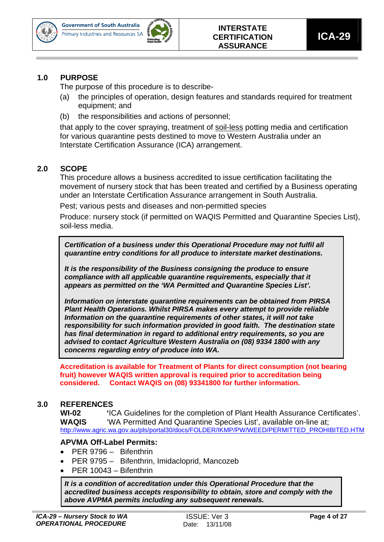



#### **1.0 PURPOSE**

The purpose of this procedure is to describe-

- (a) the principles of operation, design features and standards required for treatment equipment; and
- (b) the responsibilities and actions of personnel;

that apply to the cover spraying, treatment of soil-less potting media and certification for various quarantine pests destined to move to Western Australia under an Interstate Certification Assurance (ICA) arrangement.

#### **2.0 SCOPE**

This procedure allows a business accredited to issue certification facilitating the movement of nursery stock that has been treated and certified by a Business operating under an Interstate Certification Assurance arrangement in South Australia.

Pest; various pests and diseases and non-permitted species

Produce: nursery stock (if permitted on WAQIS Permitted and Quarantine Species List), soil-less media.

*Certification of a business under this Operational Procedure may not fulfil all quarantine entry conditions for all produce to interstate market destinations.* 

*It is the responsibility of the Business consigning the produce to ensure compliance with all applicable quarantine requirements, especially that it appears as permitted on the 'WA Permitted and Quarantine Species List'.* 

*Information on interstate quarantine requirements can be obtained from PIRSA Plant Health Operations. Whilst PIRSA makes every attempt to provide reliable Information on the quarantine requirements of other states, it will not take responsibility for such information provided in good faith. The destination state has final determination in regard to additional entry requirements, so you are advised to contact Agriculture Western Australia on (08) 9334 1800 with any concerns regarding entry of produce into WA.* 

**Accreditation is available for Treatment of Plants for direct consumption (not bearing fruit) however WAQIS written approval is required prior to accreditation being considered. Contact WAQIS on (08) 93341800 for further information.** 

#### **3.0 REFERENCES**

**WI-02 '**ICA Guidelines for the completion of Plant Health Assurance Certificates'. **WAQIS** 'WA Permitted And Quarantine Species List', available on-line at; http://www.agric.wa.gov.au/pls/portal30/docs/FOLDER/IKMP/PW/WEED/PERMITTED\_PROHIBITED.HTM

#### **APVMA Off-Label Permits:**

- PER 9796 Bifenthrin
- PER 9795 Bifenthrin, Imidacloprid, Mancozeb
- PER 10043 Bifenthrin

*It is a condition of accreditation under this Operational Procedure that the accredited business accepts responsibility to obtain, store and comply with the above AVPMA permits including any subsequent renewals.*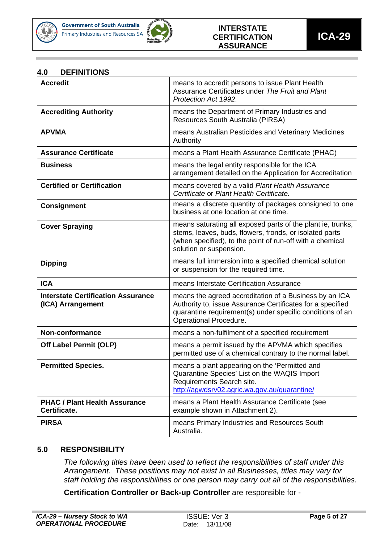



#### **4.0 DEFINITIONS**

| <b>Accredit</b>                                                | means to accredit persons to issue Plant Health<br>Assurance Certificates under The Fruit and Plant<br>Protection Act 1992.                                                                                    |
|----------------------------------------------------------------|----------------------------------------------------------------------------------------------------------------------------------------------------------------------------------------------------------------|
| <b>Accrediting Authority</b>                                   | means the Department of Primary Industries and<br>Resources South Australia (PIRSA)                                                                                                                            |
| <b>APVMA</b>                                                   | means Australian Pesticides and Veterinary Medicines<br>Authority                                                                                                                                              |
| <b>Assurance Certificate</b>                                   | means a Plant Health Assurance Certificate (PHAC)                                                                                                                                                              |
| <b>Business</b>                                                | means the legal entity responsible for the ICA<br>arrangement detailed on the Application for Accreditation                                                                                                    |
| <b>Certified or Certification</b>                              | means covered by a valid Plant Health Assurance<br>Certificate or Plant Health Certificate.                                                                                                                    |
| <b>Consignment</b>                                             | means a discrete quantity of packages consigned to one<br>business at one location at one time.                                                                                                                |
| <b>Cover Spraying</b>                                          | means saturating all exposed parts of the plant ie, trunks,<br>stems, leaves, buds, flowers, fronds, or isolated parts<br>(when specified), to the point of run-off with a chemical<br>solution or suspension. |
| <b>Dipping</b>                                                 | means full immersion into a specified chemical solution<br>or suspension for the required time.                                                                                                                |
| <b>ICA</b>                                                     | means Interstate Certification Assurance                                                                                                                                                                       |
| <b>Interstate Certification Assurance</b><br>(ICA) Arrangement | means the agreed accreditation of a Business by an ICA<br>Authority to, issue Assurance Certificates for a specified<br>quarantine requirement(s) under specific conditions of an<br>Operational Procedure.    |
| Non-conformance                                                | means a non-fulfilment of a specified requirement                                                                                                                                                              |
| <b>Off Label Permit (OLP)</b>                                  | means a permit issued by the APVMA which specifies<br>permitted use of a chemical contrary to the normal label.                                                                                                |
| <b>Permitted Species.</b>                                      | means a plant appearing on the 'Permitted and<br>Quarantine Species' List on the WAQIS Import<br>Requirements Search site.<br>http://agwdsrv02.agric.wa.gov.au/quarantine/                                     |
| <b>PHAC / Plant Health Assurance</b><br>Certificate.           | means a Plant Health Assurance Certificate (see<br>example shown in Attachment 2).                                                                                                                             |
| <b>PIRSA</b>                                                   | means Primary Industries and Resources South<br>Australia.                                                                                                                                                     |

#### **5.0 RESPONSIBILITY**

*The following titles have been used to reflect the responsibilities of staff under this Arrangement. These positions may not exist in all Businesses, titles may vary for staff holding the responsibilities or one person may carry out all of the responsibilities.* 

**Certification Controller or Back-up Controller** are responsible for -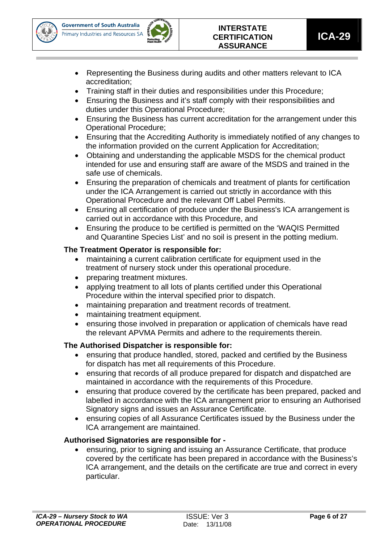



- Representing the Business during audits and other matters relevant to ICA accreditation;
- Training staff in their duties and responsibilities under this Procedure;
- Ensuring the Business and it's staff comply with their responsibilities and duties under this Operational Procedure;
- Ensuring the Business has current accreditation for the arrangement under this Operational Procedure;
- Ensuring that the Accrediting Authority is immediately notified of any changes to the information provided on the current Application for Accreditation;
- Obtaining and understanding the applicable MSDS for the chemical product intended for use and ensuring staff are aware of the MSDS and trained in the safe use of chemicals.
- Ensuring the preparation of chemicals and treatment of plants for certification under the ICA Arrangement is carried out strictly in accordance with this Operational Procedure and the relevant Off Label Permits.
- Ensuring all certification of produce under the Business's ICA arrangement is carried out in accordance with this Procedure, and
- Ensuring the produce to be certified is permitted on the 'WAQIS Permitted and Quarantine Species List' and no soil is present in the potting medium.

#### **The Treatment Operator is responsible for:**

- maintaining a current calibration certificate for equipment used in the treatment of nursery stock under this operational procedure.
- preparing treatment mixtures.
- applying treatment to all lots of plants certified under this Operational Procedure within the interval specified prior to dispatch.
- maintaining preparation and treatment records of treatment.
- maintaining treatment equipment.
- ensuring those involved in preparation or application of chemicals have read the relevant APVMA Permits and adhere to the requirements therein.

#### **The Authorised Dispatcher is responsible for:**

- ensuring that produce handled, stored, packed and certified by the Business for dispatch has met all requirements of this Procedure.
- ensuring that records of all produce prepared for dispatch and dispatched are maintained in accordance with the requirements of this Procedure.
- ensuring that produce covered by the certificate has been prepared, packed and labelled in accordance with the ICA arrangement prior to ensuring an Authorised Signatory signs and issues an Assurance Certificate.
- ensuring copies of all Assurance Certificates issued by the Business under the ICA arrangement are maintained.

#### **Authorised Signatories are responsible for -**

• ensuring, prior to signing and issuing an Assurance Certificate, that produce covered by the certificate has been prepared in accordance with the Business's ICA arrangement, and the details on the certificate are true and correct in every particular.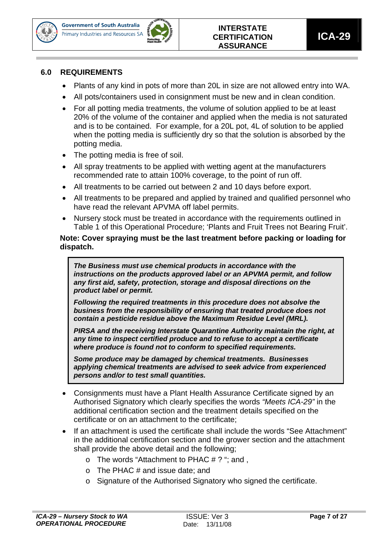



#### **6.0 REQUIREMENTS**

- Plants of any kind in pots of more than 20L in size are not allowed entry into WA.
- All pots/containers used in consignment must be new and in clean condition.
- For all potting media treatments, the volume of solution applied to be at least 20% of the volume of the container and applied when the media is not saturated and is to be contained. For example, for a 20L pot, 4L of solution to be applied when the potting media is sufficiently dry so that the solution is absorbed by the potting media.
- The potting media is free of soil.
- All spray treatments to be applied with wetting agent at the manufacturers recommended rate to attain 100% coverage, to the point of run off.
- All treatments to be carried out between 2 and 10 days before export.
- All treatments to be prepared and applied by trained and qualified personnel who have read the relevant APVMA off label permits.
- Nursery stock must be treated in accordance with the requirements outlined in Table 1 of this Operational Procedure; 'Plants and Fruit Trees not Bearing Fruit'.

**Note: Cover spraying must be the last treatment before packing or loading for dispatch.** 

*The Business must use chemical products in accordance with the instructions on the products approved label or an APVMA permit, and follow any first aid, safety, protection, storage and disposal directions on the product label or permit.* 

*Following the required treatments in this procedure does not absolve the business from the responsibility of ensuring that treated produce does not contain a pesticide residue above the Maximum Residue Level (MRL).* 

*PIRSA and the receiving Interstate Quarantine Authority maintain the right, at any time to inspect certified produce and to refuse to accept a certificate where produce is found not to conform to specified requirements.* 

*Some produce may be damaged by chemical treatments. Businesses applying chemical treatments are advised to seek advice from experienced persons and/or to test small quantities.* 

- Consignments must have a Plant Health Assurance Certificate signed by an Authorised Signatory which clearly specifies the words *"Meets ICA-29"* in the additional certification section and the treatment details specified on the certificate or on an attachment to the certificate;
- If an attachment is used the certificate shall include the words "See Attachment" in the additional certification section and the grower section and the attachment shall provide the above detail and the following;
	- $\circ$  The words "Attachment to PHAC # ? "; and ,
	- $\circ$  The PHAC # and issue date; and
	- o Signature of the Authorised Signatory who signed the certificate.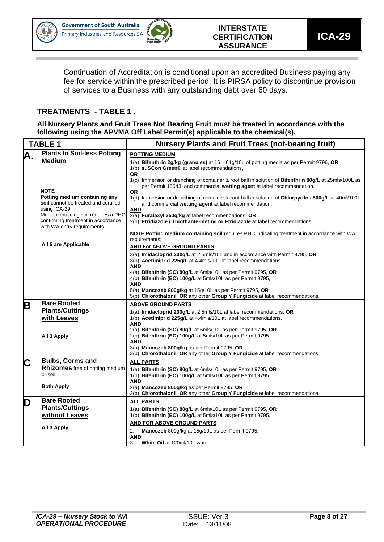



Continuation of Accreditation is conditional upon an accredited Business paying any fee for service within the prescribed period. It is PIRSA policy to discontinue provision of services to a Business with any outstanding debt over 60 days.

#### **TREATMENTS - TABLE 1 .**

**All Nursery Plants and Fruit Trees Not Bearing Fruit must be treated in accordance with the following using the APVMA Off Label Permit(s) applicable to the chemical(s).** 

| <b>TABLE 1</b> |                                                                                                           | <b>Nursery Plants and Fruit Trees (not-bearing fruit)</b>                                                                                                                                                  |  |  |  |  |  |
|----------------|-----------------------------------------------------------------------------------------------------------|------------------------------------------------------------------------------------------------------------------------------------------------------------------------------------------------------------|--|--|--|--|--|
| А.             | <b>Plants In Soil-less Potting</b>                                                                        | <b>POTTING MEDIUM</b>                                                                                                                                                                                      |  |  |  |  |  |
|                | <b>Medium</b>                                                                                             | 1(a) Bifenthrin 2g/kg (granules) at $16 - 61g/10L$ of potting media as per Permit 9796, OR<br>1(b) suSCon Green® at label recommendations,<br><b>OR</b>                                                    |  |  |  |  |  |
|                | <b>NOTE</b>                                                                                               | 1(c) Immersion or drenching of container & root ball in solution of <b>Bifenthrin 80g/L</b> at 25mls/100L as<br>per Permit 10043 and commercial <b>wetting agent</b> at label recommendation.<br><b>OR</b> |  |  |  |  |  |
|                | Potting medium containing any<br>soil cannot be treated and certified<br>using ICA-29.                    | 1(d) Immersion or drenching of container & root ball in solution of Chlorpyrifos 500g/L at 40ml/100L<br>and commercial wetting agent at label recommendation.<br><b>AND</b>                                |  |  |  |  |  |
|                | Media containing soil requires a PHC<br>confirming treatment in accordance<br>with WA entry requirements. | 2(a) Furalaxyl 250g/kg at label recommendations, OR<br>2(b) Etridiazole / Thiothante-methyl or Etridiazole at label recommendations,                                                                       |  |  |  |  |  |
|                |                                                                                                           | NOTE Potting medium containing soil requires PHC indicating treatment in accordance with WA<br>requirements;                                                                                               |  |  |  |  |  |
|                | All 5 are Applicable                                                                                      | <b>AND For ABOVE GROUND PARTS</b>                                                                                                                                                                          |  |  |  |  |  |
|                |                                                                                                           | 3(a) Imidacloprid 200g/L at 2.5mls/10L and in accordance with Permit 9795, OR<br>3(b) Acetimiprid 225g/L at 4.4mls/10L at label recommendations.<br><b>AND</b>                                             |  |  |  |  |  |
|                |                                                                                                           | 4(a) Bifenthrin (SC) 80g/L at 6mls/10L as per Permit 9795, OR                                                                                                                                              |  |  |  |  |  |
|                |                                                                                                           | 4(b) Bifenthrin (EC) 100g/L at 5mls/10L as per Permit 9795,<br><b>AND</b>                                                                                                                                  |  |  |  |  |  |
|                |                                                                                                           | 5(a) Mancozeb 800g/kg at 15g/10L as per Permit 9795, OR<br>5(b) Chlorothalonil OR any other Group Y Fungicide at label recommendations.                                                                    |  |  |  |  |  |
| Β              | <b>Bare Rooted</b>                                                                                        | <b>ABOVE GROUND PARTS</b>                                                                                                                                                                                  |  |  |  |  |  |
|                | <b>Plants/Cuttings</b>                                                                                    | 1(a) Imidacloprid 200g/L at 2.5mls/10L at label recommendations, OR                                                                                                                                        |  |  |  |  |  |
|                | with Leaves                                                                                               | 1(b) Acetimiprid 225g/L at 4.4mls/10L at label recommendations.<br><b>AND</b>                                                                                                                              |  |  |  |  |  |
|                | All 3 Apply                                                                                               | 2(a) Bifenthrin (SC) 80g/L at 6mls/10L as per Permit 9795, OR<br>2(b) Bifenthrin (EC) 100g/L at 5mls/10L as per Permit 9795.<br><b>AND</b>                                                                 |  |  |  |  |  |
|                |                                                                                                           | 3(a) Mancozeb 800g/kg as per Permit 9795, OR<br>3(b) Chlorothalonil OR any other Group Y Fungicide at label recommendations.                                                                               |  |  |  |  |  |
| Ć              | <b>Bulbs, Corms and</b>                                                                                   | <b>ALL PARTS</b>                                                                                                                                                                                           |  |  |  |  |  |
|                | Rhizomes free of potting medium                                                                           | 1(a) Bifenthrin (SC) 80g/L at 6mls/10L as per Permit 9795, OR                                                                                                                                              |  |  |  |  |  |
|                | or soil                                                                                                   | 1(b) Bifenthrin (EC) 100g/L at 5mls/10L as per Permit 9795.<br><b>AND</b>                                                                                                                                  |  |  |  |  |  |
|                | <b>Both Apply</b>                                                                                         | 2(a) Mancozeb 800q/kq as per Permit 9795, OR<br>2(b) Chlorothalonil OR any other Group Y Fungicide at label recommendations.                                                                               |  |  |  |  |  |
| D              | <b>Bare Rooted</b>                                                                                        | <b>ALL PARTS</b>                                                                                                                                                                                           |  |  |  |  |  |
|                | <b>Plants/Cuttings</b>                                                                                    | 1(a) Bifenthrin (SC) 80g/L at 6mls/10L as per Permit 9795, OR                                                                                                                                              |  |  |  |  |  |
|                | without Leaves                                                                                            | 1(b) Bifenthrin (EC) 100g/L at 5mls/10L as per Permit 9795.                                                                                                                                                |  |  |  |  |  |
|                | All 3 Apply                                                                                               | AND FOR ABOVE GROUND PARTS                                                                                                                                                                                 |  |  |  |  |  |
|                |                                                                                                           | Mancozeb 800g/kg at 15g/10L as per Permit 9795,<br>2.<br>AND                                                                                                                                               |  |  |  |  |  |
|                |                                                                                                           | 3.<br>White Oil at 120ml/10L water                                                                                                                                                                         |  |  |  |  |  |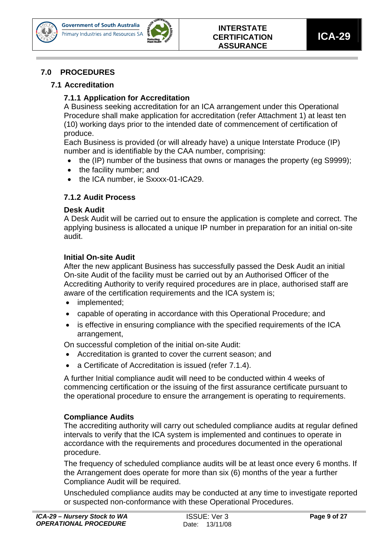



#### **7.0 PROCEDURES**

#### **7.1 Accreditation**

#### **7.1.1 Application for Accreditation**

A Business seeking accreditation for an ICA arrangement under this Operational Procedure shall make application for accreditation (refer Attachment 1) at least ten (10) working days prior to the intended date of commencement of certification of produce.

Each Business is provided (or will already have) a unique Interstate Produce (IP) number and is identifiable by the CAA number, comprising:

- the (IP) number of the business that owns or manages the property (eg S9999);
- the facility number; and
- the ICA number, ie Sxxxx-01-ICA29.

#### **7.1.2 Audit Process**

#### **Desk Audit**

A Desk Audit will be carried out to ensure the application is complete and correct. The applying business is allocated a unique IP number in preparation for an initial on-site audit.

#### **Initial On-site Audit**

After the new applicant Business has successfully passed the Desk Audit an initial On-site Audit of the facility must be carried out by an Authorised Officer of the Accrediting Authority to verify required procedures are in place, authorised staff are aware of the certification requirements and the ICA system is;

- implemented;
- capable of operating in accordance with this Operational Procedure; and
- is effective in ensuring compliance with the specified requirements of the ICA arrangement,

On successful completion of the initial on-site Audit:

- Accreditation is granted to cover the current season; and
- a Certificate of Accreditation is issued (refer 7.1.4).

A further Initial compliance audit will need to be conducted within 4 weeks of commencing certification or the issuing of the first assurance certificate pursuant to the operational procedure to ensure the arrangement is operating to requirements.

#### **Compliance Audits**

The accrediting authority will carry out scheduled compliance audits at regular defined intervals to verify that the ICA system is implemented and continues to operate in accordance with the requirements and procedures documented in the operational procedure.

The frequency of scheduled compliance audits will be at least once every 6 months. If the Arrangement does operate for more than six (6) months of the year a further Compliance Audit will be required.

Unscheduled compliance audits may be conducted at any time to investigate reported or suspected non-conformance with these Operational Procedures.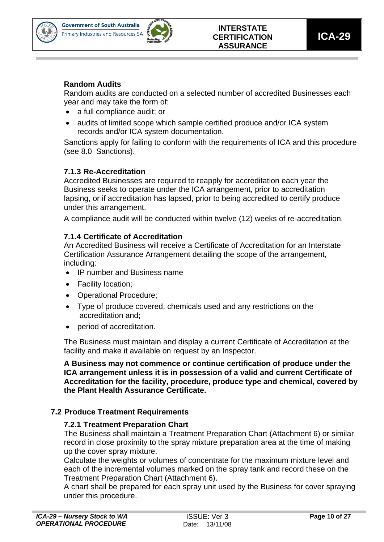



#### **Random Audits**

Random audits are conducted on a selected number of accredited Businesses each year and may take the form of:

- a full compliance audit; or
- audits of limited scope which sample certified produce and/or ICA system records and/or ICA system documentation.

Sanctions apply for failing to conform with the requirements of ICA and this procedure (see 8.0 Sanctions).

#### **7.1.3 Re-Accreditation**

Accredited Businesses are required to reapply for accreditation each year the Business seeks to operate under the ICA arrangement, prior to accreditation lapsing, or if accreditation has lapsed, prior to being accredited to certify produce under this arrangement.

A compliance audit will be conducted within twelve (12) weeks of re-accreditation.

#### **7.1.4 Certificate of Accreditation**

An Accredited Business will receive a Certificate of Accreditation for an Interstate Certification Assurance Arrangement detailing the scope of the arrangement, including:

- IP number and Business name
- Facility location;
- Operational Procedure;
- Type of produce covered, chemicals used and any restrictions on the accreditation and;
- period of accreditation.

The Business must maintain and display a current Certificate of Accreditation at the facility and make it available on request by an Inspector.

**A Business may not commence or continue certification of produce under the ICA arrangement unless it is in possession of a valid and current Certificate of Accreditation for the facility, procedure, produce type and chemical, covered by the Plant Health Assurance Certificate.** 

#### **7.2 Produce Treatment Requirements**

#### **7.2.1 Treatment Preparation Chart**

The Business shall maintain a Treatment Preparation Chart (Attachment 6) or similar record in close proximity to the spray mixture preparation area at the time of making up the cover spray mixture.

Calculate the weights or volumes of concentrate for the maximum mixture level and each of the incremental volumes marked on the spray tank and record these on the Treatment Preparation Chart (Attachment 6).

A chart shall be prepared for each spray unit used by the Business for cover spraying under this procedure.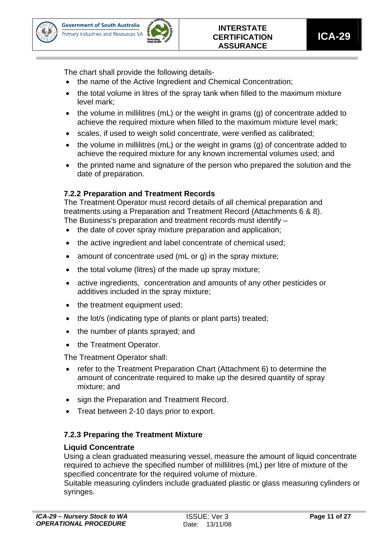



The chart shall provide the following details-

- the name of the Active Ingredient and Chemical Concentration;
- the total volume in litres of the spray tank when filled to the maximum mixture level mark;
- the volume in millilitres (mL) or the weight in grams (g) of concentrate added to achieve the required mixture when filled to the maximum mixture level mark;
- scales, if used to weigh solid concentrate, were verified as calibrated;
- the volume in millilitres (mL) or the weight in grams (g) of concentrate added to achieve the required mixture for any known incremental volumes used; and
- the printed name and signature of the person who prepared the solution and the date of preparation.

#### **7.2.2 Preparation and Treatment Records**

The Treatment Operator must record details of all chemical preparation and treatments using a Preparation and Treatment Record (Attachments 6 & 8). The Business's preparation and treatment records must identify –

- the date of cover spray mixture preparation and application;
- the active ingredient and label concentrate of chemical used;
- amount of concentrate used (mL or g) in the spray mixture;
- the total volume (litres) of the made up spray mixture;
- active ingredients, concentration and amounts of any other pesticides or additives included in the spray mixture;
- the treatment equipment used;
- the lot/s (indicating type of plants or plant parts) treated;
- the number of plants sprayed; and
- the Treatment Operator.

The Treatment Operator shall:

- refer to the Treatment Preparation Chart (Attachment 6) to determine the amount of concentrate required to make up the desired quantity of spray mixture; and
- sign the Preparation and Treatment Record.
- Treat between 2-10 days prior to export.

#### **7.2.3 Preparing the Treatment Mixture**

#### **Liquid Concentrate**

Using a clean graduated measuring vessel, measure the amount of liquid concentrate required to achieve the specified number of millilitres (mL) per litre of mixture of the specified concentrate for the required volume of mixture.

Suitable measuring cylinders include graduated plastic or glass measuring cylinders or syringes.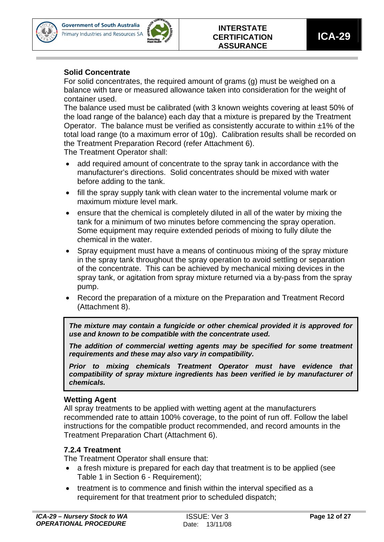



#### **Solid Concentrate**

For solid concentrates, the required amount of grams (g) must be weighed on a balance with tare or measured allowance taken into consideration for the weight of container used.

The balance used must be calibrated (with 3 known weights covering at least 50% of the load range of the balance) each day that a mixture is prepared by the Treatment Operator. The balance must be verified as consistently accurate to within  $\pm 1\%$  of the total load range (to a maximum error of 10g). Calibration results shall be recorded on the Treatment Preparation Record (refer Attachment 6).

The Treatment Operator shall:

- add required amount of concentrate to the spray tank in accordance with the manufacturer's directions. Solid concentrates should be mixed with water before adding to the tank.
- fill the spray supply tank with clean water to the incremental volume mark or maximum mixture level mark.
- ensure that the chemical is completely diluted in all of the water by mixing the tank for a minimum of two minutes before commencing the spray operation. Some equipment may require extended periods of mixing to fully dilute the chemical in the water.
- Spray equipment must have a means of continuous mixing of the spray mixture in the spray tank throughout the spray operation to avoid settling or separation of the concentrate. This can be achieved by mechanical mixing devices in the spray tank, or agitation from spray mixture returned via a by-pass from the spray pump.
- Record the preparation of a mixture on the Preparation and Treatment Record (Attachment 8).

*The mixture may contain a fungicide or other chemical provided it is approved for use and known to be compatible with the concentrate used.* 

*The addition of commercial wetting agents may be specified for some treatment requirements and these may also vary in compatibility.* 

*Prior to mixing chemicals Treatment Operator must have evidence that compatibility of spray mixture ingredients has been verified ie by manufacturer of chemicals.* 

#### **Wetting Agent**

All spray treatments to be applied with wetting agent at the manufacturers recommended rate to attain 100% coverage, to the point of run off. Follow the label instructions for the compatible product recommended, and record amounts in the Treatment Preparation Chart (Attachment 6).

#### **7.2.4 Treatment**

The Treatment Operator shall ensure that:

- a fresh mixture is prepared for each day that treatment is to be applied (see Table 1 in Section 6 - Requirement);
- treatment is to commence and finish within the interval specified as a requirement for that treatment prior to scheduled dispatch;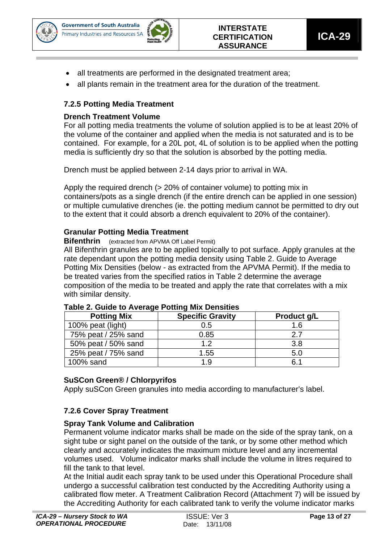![](_page_12_Picture_0.jpeg)

![](_page_12_Picture_2.jpeg)

- all treatments are performed in the designated treatment area;
- all plants remain in the treatment area for the duration of the treatment.

#### **7.2.5 Potting Media Treatment**

#### **Drench Treatment Volume**

For all potting media treatments the volume of solution applied is to be at least 20% of the volume of the container and applied when the media is not saturated and is to be contained. For example, for a 20L pot, 4L of solution is to be applied when the potting media is sufficiently dry so that the solution is absorbed by the potting media.

Drench must be applied between 2-14 days prior to arrival in WA.

Apply the required drench (> 20% of container volume) to potting mix in containers/pots as a single drench (if the entire drench can be applied in one session) or multiple cumulative drenches (ie. the potting medium cannot be permitted to dry out to the extent that it could absorb a drench equivalent to 20% of the container).

#### **Granular Potting Media Treatment**

**Bifenthrin** (extracted from APVMA Off Label Permit)

All Bifenthrin granules are to be applied topically to pot surface. Apply granules at the rate dependant upon the potting media density using Table 2. Guide to Average Potting Mix Densities (below - as extracted from the APVMA Permit). If the media to be treated varies from the specified ratios in Table 2 determine the average composition of the media to be treated and apply the rate that correlates with a mix with similar density.

| <b>Potting Mix</b>  | <b>Specific Gravity</b> | Product g/L |
|---------------------|-------------------------|-------------|
| 100% peat (light)   | 0.5                     | 1.6         |
| 75% peat / 25% sand | 0.85                    | 27          |
| 50% peat / 50% sand | 1.2                     | 3.8         |
| 25% peat / 75% sand | 1.55                    | 5.0         |
| 100% sand           | 1.9                     | 6.1         |

#### **Table 2. Guide to Average Potting Mix Densities**

#### **SuSCon Green® / Chlorpyrifos**

Apply suSCon Green granules into media according to manufacturer's label.

#### **7.2.6 Cover Spray Treatment**

#### **Spray Tank Volume and Calibration**

Permanent volume indicator marks shall be made on the side of the spray tank, on a sight tube or sight panel on the outside of the tank, or by some other method which clearly and accurately indicates the maximum mixture level and any incremental volumes used. Volume indicator marks shall include the volume in litres required to fill the tank to that level.

At the Initial audit each spray tank to be used under this Operational Procedure shall undergo a successful calibration test conducted by the Accrediting Authority using a calibrated flow meter. A Treatment Calibration Record (Attachment 7) will be issued by the Accrediting Authority for each calibrated tank to verify the volume indicator marks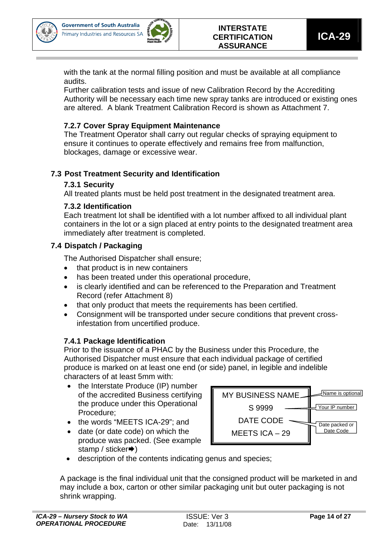![](_page_13_Picture_0.jpeg)

![](_page_13_Picture_2.jpeg)

with the tank at the normal filling position and must be available at all compliance audits.

Further calibration tests and issue of new Calibration Record by the Accrediting Authority will be necessary each time new spray tanks are introduced or existing ones are altered. A blank Treatment Calibration Record is shown as Attachment 7.

#### **7.2.7 Cover Spray Equipment Maintenance**

The Treatment Operator shall carry out regular checks of spraying equipment to ensure it continues to operate effectively and remains free from malfunction, blockages, damage or excessive wear.

#### **7.3 Post Treatment Security and Identification**

#### **7.3.1 Security**

All treated plants must be held post treatment in the designated treatment area.

#### **7.3.2 Identification**

Each treatment lot shall be identified with a lot number affixed to all individual plant containers in the lot or a sign placed at entry points to the designated treatment area immediately after treatment is completed.

#### **7.4 Dispatch / Packaging**

The Authorised Dispatcher shall ensure;

- that product is in new containers
- has been treated under this operational procedure,
- is clearly identified and can be referenced to the Preparation and Treatment Record (refer Attachment 8)
- that only product that meets the requirements has been certified.
- Consignment will be transported under secure conditions that prevent crossinfestation from uncertified produce.

#### **7.4.1 Package Identification**

Prior to the issuance of a PHAC by the Business under this Procedure, the Authorised Dispatcher must ensure that each individual package of certified produce is marked on at least one end (or side) panel, in legible and indelible characters of at least 5mm with:

- the Interstate Produce (IP) number of the accredited Business certifying the produce under this Operational Procedure;
- the words "MEETS ICA-29": and
- date (or date code) on which the produce was packed. (See example stamp / sticker $\rightarrow$ )

![](_page_13_Figure_26.jpeg)

• description of the contents indicating genus and species;

A package is the final individual unit that the consigned product will be marketed in and may include a box, carton or other similar packaging unit but outer packaging is not shrink wrapping.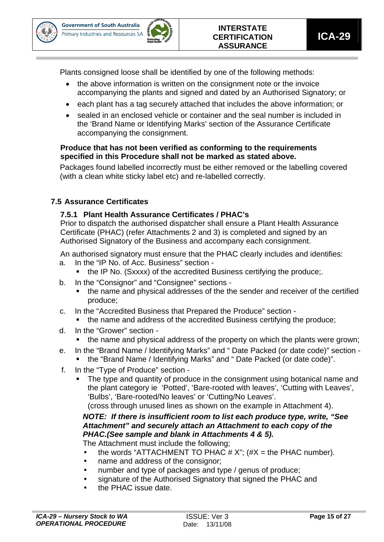![](_page_14_Picture_0.jpeg)

![](_page_14_Picture_2.jpeg)

Plants consigned loose shall be identified by one of the following methods:

- the above information is written on the consignment note or the invoice accompanying the plants and signed and dated by an Authorised Signatory; or
- each plant has a tag securely attached that includes the above information; or
- sealed in an enclosed vehicle or container and the seal number is included in the 'Brand Name or Identifying Marks' section of the Assurance Certificate accompanying the consignment.

#### **Produce that has not been verified as conforming to the requirements specified in this Procedure shall not be marked as stated above.**

Packages found labelled incorrectly must be either removed or the labelling covered (with a clean white sticky label etc) and re-labelled correctly.

#### **7.5 Assurance Certificates**

#### **7.5.1 Plant Health Assurance Certificates / PHAC's**

Prior to dispatch the authorised dispatcher shall ensure a Plant Health Assurance Certificate (PHAC) (refer Attachments 2 and 3) is completed and signed by an Authorised Signatory of the Business and accompany each consignment.

An authorised signatory must ensure that the PHAC clearly includes and identifies:

- a. In the "IP No. of Acc. Business" section
	- the IP No. (Sxxxx) of the accredited Business certifying the produce;.
- b. In the "Consignor" and "Consignee" sections
	- the name and physical addresses of the the sender and receiver of the certified produce;
- c. In the "Accredited Business that Prepared the Produce" section
	- the name and address of the accredited Business certifying the produce;
- d. In the "Grower" section
	- the name and physical address of the property on which the plants were grown;
- e. In the "Brand Name / Identifying Marks" and " Date Packed (or date code)" section the "Brand Name / Identifying Marks" and " Date Packed (or date code)".
- f. In the "Type of Produce" section
	- The type and quantity of produce in the consignment using botanical name and the plant category ie 'Potted', 'Bare-rooted with leaves', 'Cutting with Leaves', 'Bulbs', 'Bare-rooted/No leaves' or 'Cutting/No Leaves'.

(cross through unused lines as shown on the example in Attachment 4).

#### *NOTE: If there is insufficient room to list each produce type, write, "See Attachment" and securely attach an Attachment to each copy of the PHAC.(See sample and blank in Attachments 4 & 5).*

The Attachment must include the following;

- the words "ATTACHMENT TO PHAC  $# X$ "; ( $#X =$  the PHAC number).
- name and address of the consignor;
- number and type of packages and type / genus of produce;
- signature of the Authorised Signatory that signed the PHAC and
- the PHAC issue date.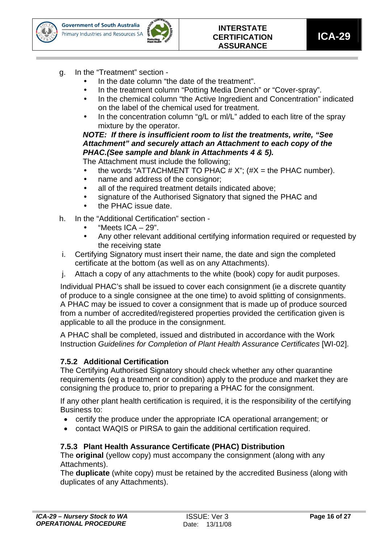![](_page_15_Picture_0.jpeg)

![](_page_15_Picture_2.jpeg)

- g. In the "Treatment" section
	- In the date column "the date of the treatment".
	- In the treatment column "Potting Media Drench" or "Cover-spray".
	- In the chemical column "the Active Ingredient and Concentration" indicated on the label of the chemical used for treatment.
	- In the concentration column "g/L or ml/L" added to each litre of the spray mixture by the operator.

#### *NOTE: If there is insufficient room to list the treatments, write, "See Attachment" and securely attach an Attachment to each copy of the PHAC.(See sample and blank in Attachments 4 & 5).*

The Attachment must include the following;

- the words "ATTACHMENT TO PHAC  $# X$ "; ( $#X =$  the PHAC number).
- name and address of the consignor;
- all of the required treatment details indicated above:
- signature of the Authorised Signatory that signed the PHAC and
- the PHAC issue date.
- h. In the "Additional Certification" section
	- "Meets  $ICA 29$ ".
	- Any other relevant additional certifying information required or requested by the receiving state
- i. Certifying Signatory must insert their name, the date and sign the completed certificate at the bottom (as well as on any Attachments).
- j. Attach a copy of any attachments to the white (book) copy for audit purposes.

Individual PHAC's shall be issued to cover each consignment (ie a discrete quantity of produce to a single consignee at the one time) to avoid splitting of consignments. A PHAC may be issued to cover a consignment that is made up of produce sourced from a number of accredited/registered properties provided the certification given is applicable to all the produce in the consignment.

A PHAC shall be completed, issued and distributed in accordance with the Work Instruction *Guidelines for Completion of Plant Health Assurance Certificates* [WI-02].

#### **7.5.2 Additional Certification**

The Certifying Authorised Signatory should check whether any other quarantine requirements (eg a treatment or condition) apply to the produce and market they are consigning the produce to, prior to preparing a PHAC for the consignment.

If any other plant health certification is required, it is the responsibility of the certifying Business to:

- certify the produce under the appropriate ICA operational arrangement; or
- contact WAQIS or PIRSA to gain the additional certification required.

#### **7.5.3 Plant Health Assurance Certificate (PHAC) Distribution**

The **original** (yellow copy) must accompany the consignment (along with any Attachments).

The **duplicate** (white copy) must be retained by the accredited Business (along with duplicates of any Attachments).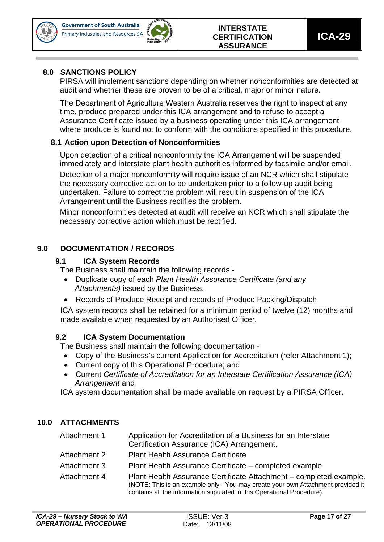![](_page_16_Picture_0.jpeg)

![](_page_16_Picture_2.jpeg)

#### **8.0 SANCTIONS POLICY**

PIRSA will implement sanctions depending on whether nonconformities are detected at audit and whether these are proven to be of a critical, major or minor nature.

The Department of Agriculture Western Australia reserves the right to inspect at any time, produce prepared under this ICA arrangement and to refuse to accept a Assurance Certificate issued by a business operating under this ICA arrangement where produce is found not to conform with the conditions specified in this procedure.

#### **8.1 Action upon Detection of Nonconformities**

Upon detection of a critical nonconformity the ICA Arrangement will be suspended immediately and interstate plant health authorities informed by facsimile and/or email. Detection of a major nonconformity will require issue of an NCR which shall stipulate the necessary corrective action to be undertaken prior to a follow-up audit being undertaken. Failure to correct the problem will result in suspension of the ICA Arrangement until the Business rectifies the problem.

Minor nonconformities detected at audit will receive an NCR which shall stipulate the necessary corrective action which must be rectified.

#### **9.0 DOCUMENTATION / RECORDS**

#### **9.1 ICA System Records**

The Business shall maintain the following records -

- Duplicate copy of each *Plant Health Assurance Certificate (and any Attachments)* issued by the Business.
- Records of Produce Receipt and records of Produce Packing/Dispatch

ICA system records shall be retained for a minimum period of twelve (12) months and made available when requested by an Authorised Officer.

#### **9.2 ICA System Documentation**

The Business shall maintain the following documentation -

- Copy of the Business's current Application for Accreditation (refer Attachment 1);
- Current copy of this Operational Procedure; and
- Current *Certificate of Accreditation for an Interstate Certification Assurance (ICA) Arrangement* and

ICA system documentation shall be made available on request by a PIRSA Officer.

#### **10.0 ATTACHMENTS**

| Attachment 1 | Application for Accreditation of a Business for an Interstate                                                                                                                                                                    |
|--------------|----------------------------------------------------------------------------------------------------------------------------------------------------------------------------------------------------------------------------------|
|              | Certification Assurance (ICA) Arrangement.                                                                                                                                                                                       |
| Attachment 2 | <b>Plant Health Assurance Certificate</b>                                                                                                                                                                                        |
| Attachment 3 | Plant Health Assurance Certificate – completed example                                                                                                                                                                           |
| Attachment 4 | Plant Health Assurance Certificate Attachment – completed example.<br>(NOTE; This is an example only - You may create your own Attachment provided it<br>contains all the information stipulated in this Operational Procedure). |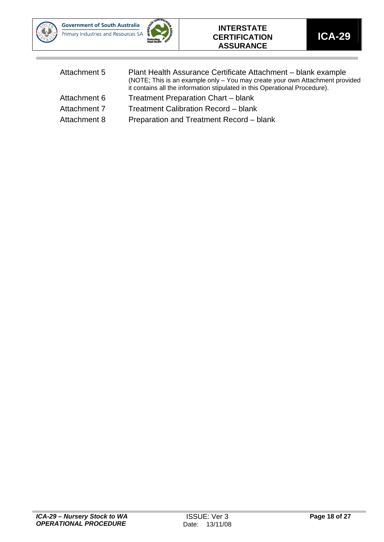![](_page_17_Picture_0.jpeg)

![](_page_17_Picture_2.jpeg)

#### **INTERSTATE CERTIFICATION ASSURANCE**

| Attachment 5 | Plant Health Assurance Certificate Attachment – blank example<br>(NOTE; This is an example only - You may create your own Attachment provided<br>it contains all the information stipulated in this Operational Procedure). |
|--------------|-----------------------------------------------------------------------------------------------------------------------------------------------------------------------------------------------------------------------------|
| Attachment 6 | <b>Treatment Preparation Chart - blank</b>                                                                                                                                                                                  |
| Attachment 7 | Treatment Calibration Record – blank                                                                                                                                                                                        |
| Attachment 8 | Preparation and Treatment Record - blank                                                                                                                                                                                    |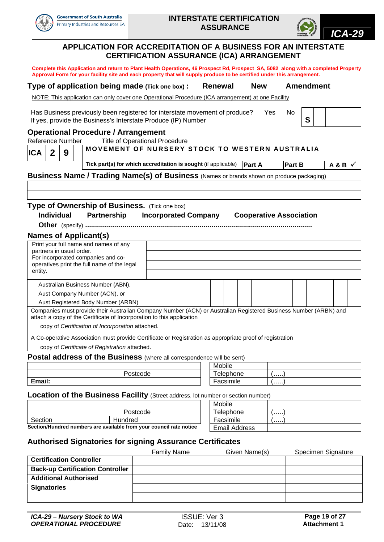![](_page_18_Picture_0.jpeg)

![](_page_18_Picture_3.jpeg)

#### **APPLICATION FOR ACCREDITATION OF A BUSINESS FOR AN INTERSTATE CERTIFICATION ASSURANCE (ICA) ARRANGEMENT**

**Complete this Application and return to Plant Health Operations, 46 Prospect Rd, Prospect SA, 5082 along with a completed Property Approval Form for your facility site and each property that will supply produce to be certified under this arrangement.** 

#### **Type of application being made (Tick one box) : Renewal New Amendment**

NOTE; This application can only cover one Operational Procedure (ICA arrangement) at one Facility

Has Business previously been registered for interstate movement of produce? Yes No If yes, provide the Business's Interstate Produce (IP) Number **S** 

#### **Operational Procedure / Arrangement**

Reference Number Title of Operational Procedure

**ICA 29** MOVEMENT OF NURSERY STOCK TO WESTERN AUSTRALIA **Tick part(s) for which accreditation is sought (if applicable) <b>Part A Part B A & B** 

**Business Name / Trading Name(s) of Business** (Names or brands shown on produce packaging)

## **Type of Ownership of Business.** (Tick one box) **Individual Partnership Incorporated Company Cooperative Association**

**Other** (specify) **...................................................................................................................**

#### **Names of Applicant(s)**

| Print your full name and names of any<br>partners in usual order.<br>For incorporated companies and co-<br>operatives print the full name of the legal                                    |  |  |  |  |  |  |
|-------------------------------------------------------------------------------------------------------------------------------------------------------------------------------------------|--|--|--|--|--|--|
| entity.                                                                                                                                                                                   |  |  |  |  |  |  |
|                                                                                                                                                                                           |  |  |  |  |  |  |
| Australian Business Number (ABN),                                                                                                                                                         |  |  |  |  |  |  |
| Aust Company Number (ACN), or                                                                                                                                                             |  |  |  |  |  |  |
| Aust Registered Body Number (ARBN)                                                                                                                                                        |  |  |  |  |  |  |
| Companies must provide their Australian Company Number (ACN) or Australian Registered Business Number (ARBN) and<br>attach a copy of the Certificate of Incorporation to this application |  |  |  |  |  |  |
| copy of Certification of Incorporation attached.                                                                                                                                          |  |  |  |  |  |  |
| A Co-operative Association must provide Certificate or Registration as appropriate proof of registration<br>copy of Certificate of Registration attached.                                 |  |  |  |  |  |  |

#### **Postal address of the Business** (where all correspondence will be sent)

|         | Mobile    |   |  |  |  |
|---------|-----------|---|--|--|--|
| ostcode | Telephone | . |  |  |  |
| Email:  | Facsimile | . |  |  |  |

**Location of the Business Facility** (Street address, lot number or section number)

|                    |                                                                     | Mobile               |   |
|--------------------|---------------------------------------------------------------------|----------------------|---|
|                    | Postcode                                                            | Telephone            | . |
| Section<br>Hundred |                                                                     | Facsimile            | . |
|                    | Section/Hundred numbers are available from your council rate notice | <b>Email Address</b> |   |

| Mobile               |         |
|----------------------|---------|
| Telephone            |         |
| Facsimile            | 1.1.1.1 |
| <b>Email Address</b> |         |

#### **Authorised Signatories for signing Assurance Certificates**

|                                         | <b>Family Name</b> | Given Name(s) | Specimen Signature |
|-----------------------------------------|--------------------|---------------|--------------------|
| <b>Certification Controller</b>         |                    |               |                    |
| <b>Back-up Certification Controller</b> |                    |               |                    |
| <b>Additional Authorised</b>            |                    |               |                    |
| <b>Signatories</b>                      |                    |               |                    |
|                                         |                    |               |                    |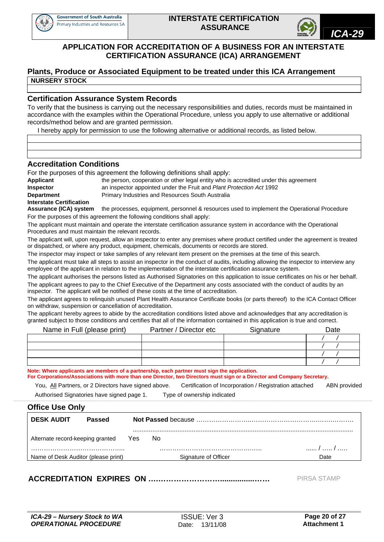![](_page_19_Picture_0.jpeg)

![](_page_19_Picture_3.jpeg)

#### **APPLICATION FOR ACCREDITATION OF A BUSINESS FOR AN INTERSTATE CERTIFICATION ASSURANCE (ICA) ARRANGEMENT**

#### **Plants, Produce or Associated Equipment to be treated under this ICA Arrangement NURSERY STOCK**

#### **Certification Assurance System Records**

To verify that the business is carrying out the necessary responsibilities and duties, records must be maintained in accordance with the examples within the Operational Procedure, unless you apply to use alternative or additional records/method below and are granted permission.

I hereby apply for permission to use the following alternative or additional records, as listed below.

#### **Accreditation Conditions**

For the purposes of this agreement the following definitions shall apply:

| the person, cooperation or other legal entity who is accredited under this agreement |
|--------------------------------------------------------------------------------------|
| an inspector appointed under the Fruit and Plant Protection Act 1992                 |
| Primary Industries and Resources South Australia                                     |
|                                                                                      |
|                                                                                      |

**Assurance (ICA) system** the processes, equipment, personnel & resources used to implement the Operational Procedure For the purposes of this agreement the following conditions shall apply:

The applicant must maintain and operate the interstate certification assurance system in accordance with the Operational Procedures and must maintain the relevant records.

The applicant will, upon request, allow an inspector to enter any premises where product certified under the agreement is treated or dispatched, or where any product, equipment, chemicals, documents or records are stored.

The inspector may inspect or take samples of any relevant item present on the premises at the time of this search.

The applicant must take all steps to assist an inspector in the conduct of audits, including allowing the inspector to interview any employee of the applicant in relation to the implementation of the interstate certification assurance system.

The applicant authorises the persons listed as Authorised Signatories on this application to issue certificates on his or her behalf. The applicant agrees to pay to the Chief Executive of the Department any costs associated with the conduct of audits by an inspector. The applicant will be notified of these costs at the time of accreditation.

The applicant agrees to relinquish unused Plant Health Assurance Certificate books (or parts thereof) to the ICA Contact Officer on withdraw, suspension or cancellation of accreditation.

The applicant hereby agrees to abide by the accreditation conditions listed above and acknowledges that any accreditation is granted subject to those conditions and certifies that all of the information contained in this application is true and correct.

| Name in Full (please print) | Partner / Director etc | Signature | Date |
|-----------------------------|------------------------|-----------|------|
|                             |                        |           |      |
|                             |                        |           |      |
|                             |                        |           |      |
|                             |                        |           |      |

**Note: Where applicants are members of a partnership, each partner must sign the application. For Corporations/Associations with more than one Director, two Directors must sign or a Director and Company Secretary.** 

You, All Partners, or 2 Directors have signed above. Certification of Incorporation / Registration attached ABN provided Authorised Signatories have signed page 1. Type of ownership indicated

| <b>Office Use Only</b>              |               |     |                      |      |  |  |  |  |
|-------------------------------------|---------------|-----|----------------------|------|--|--|--|--|
| <b>DESK AUDIT</b>                   | <b>Passed</b> |     |                      |      |  |  |  |  |
| Alternate record-keeping granted    |               | Yes | No.                  |      |  |  |  |  |
|                                     |               |     |                      |      |  |  |  |  |
| Name of Desk Auditor (please print) |               |     | Signature of Officer | Date |  |  |  |  |

,一个人都是一个人的人,我们就是一个人的人,我们就是一个人的人,我们就是一个人的人,我们就是一个人的人,我们就是一个人的人,我们就是一个人的人,我们就是一个人的

**ACCREDITATION EXPIRES ON ….……………………................……** PIRSA STAMP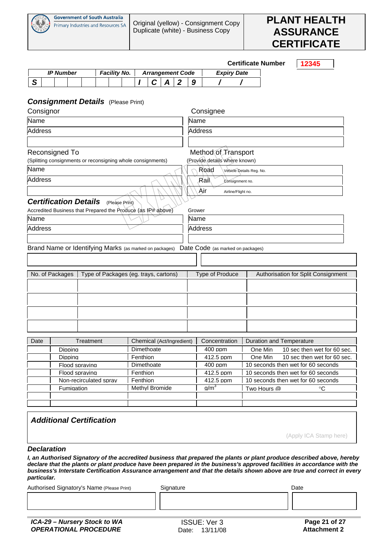![](_page_20_Picture_0.jpeg)

![](_page_20_Picture_3.jpeg)

|                |                                    |                                                              |           |                     |                |          |                                                 |                  |             |                                   |                    | <b>Certificate Number</b>                                                        |                 |  | 12345 |  |  |
|----------------|------------------------------------|--------------------------------------------------------------|-----------|---------------------|----------------|----------|-------------------------------------------------|------------------|-------------|-----------------------------------|--------------------|----------------------------------------------------------------------------------|-----------------|--|-------|--|--|
|                |                                    | <b>IP Number</b>                                             |           | <b>Facility No.</b> |                |          | <b>Arrangement Code</b>                         |                  |             |                                   | <b>Expiry Date</b> |                                                                                  |                 |  |       |  |  |
| S              |                                    |                                                              |           |                     |                |          | С<br>A                                          | $\boldsymbol{2}$ | 9           |                                   |                    |                                                                                  |                 |  |       |  |  |
|                |                                    |                                                              |           |                     |                |          |                                                 |                  |             |                                   |                    |                                                                                  |                 |  |       |  |  |
|                |                                    | <b>Consignment Details</b> (Please Print)                    |           |                     |                |          |                                                 |                  |             |                                   |                    |                                                                                  |                 |  |       |  |  |
| Consignor      |                                    |                                                              |           |                     |                |          |                                                 |                  |             | Consignee                         |                    |                                                                                  |                 |  |       |  |  |
| Name           |                                    |                                                              |           |                     |                |          |                                                 |                  | Name        |                                   |                    |                                                                                  |                 |  |       |  |  |
| <b>Address</b> |                                    |                                                              |           |                     |                |          |                                                 |                  |             | <b>Address</b>                    |                    |                                                                                  |                 |  |       |  |  |
|                |                                    |                                                              |           |                     |                |          |                                                 |                  |             |                                   |                    |                                                                                  |                 |  |       |  |  |
|                |                                    | Reconsigned To                                               |           |                     |                |          |                                                 |                  |             | Method of Transport               |                    |                                                                                  |                 |  |       |  |  |
|                |                                    | (Splitting consignments or reconsigning whole consignments)  |           |                     |                |          |                                                 |                  |             | (Provide details where known)     |                    |                                                                                  |                 |  |       |  |  |
| Name           |                                    |                                                              |           |                     |                |          |                                                 |                  |             | Road                              |                    | Vèhicle Details Reg. No.                                                         |                 |  |       |  |  |
| <b>Address</b> |                                    |                                                              |           |                     |                |          |                                                 |                  |             | .Rai∖                             | Consignment no.    |                                                                                  |                 |  |       |  |  |
|                |                                    |                                                              |           |                     |                |          |                                                 |                  |             | Air                               | Airline/Flight no. |                                                                                  |                 |  |       |  |  |
|                |                                    | <b>Certification Details</b>                                 |           |                     | (Please Print) |          |                                                 |                  |             |                                   |                    |                                                                                  |                 |  |       |  |  |
|                |                                    | Accredited Business that Prepared the Produce (as IP# above) |           |                     |                |          |                                                 |                  | Grower      |                                   |                    |                                                                                  |                 |  |       |  |  |
| Name           |                                    |                                                              |           |                     |                |          |                                                 |                  | Name        |                                   |                    |                                                                                  |                 |  |       |  |  |
| <b>Address</b> |                                    |                                                              |           |                     |                |          |                                                 |                  |             | <b>Address</b>                    |                    |                                                                                  |                 |  |       |  |  |
|                |                                    |                                                              |           |                     |                |          |                                                 |                  |             |                                   |                    |                                                                                  |                 |  |       |  |  |
|                |                                    |                                                              |           |                     |                |          |                                                 |                  |             |                                   |                    |                                                                                  |                 |  |       |  |  |
|                |                                    | Brand Name or Identifying Marks (as marked on packages)      |           |                     |                |          |                                                 |                  |             | Date Code (as marked on packages) |                    |                                                                                  |                 |  |       |  |  |
|                |                                    |                                                              |           |                     |                |          |                                                 |                  |             |                                   |                    |                                                                                  |                 |  |       |  |  |
|                |                                    | No. of Packages                                              |           |                     |                |          | Type of Packages (eg. trays, cartons)           |                  |             | Type of Produce                   |                    | Authorisation for Split Consignment                                              |                 |  |       |  |  |
|                |                                    |                                                              |           |                     |                |          |                                                 |                  |             |                                   |                    |                                                                                  |                 |  |       |  |  |
|                |                                    |                                                              |           |                     |                |          |                                                 |                  |             |                                   |                    |                                                                                  |                 |  |       |  |  |
|                |                                    |                                                              |           |                     |                |          |                                                 |                  |             |                                   |                    |                                                                                  |                 |  |       |  |  |
|                |                                    |                                                              |           |                     |                |          |                                                 |                  |             |                                   |                    |                                                                                  |                 |  |       |  |  |
|                |                                    |                                                              |           |                     |                |          |                                                 |                  |             |                                   |                    |                                                                                  |                 |  |       |  |  |
|                |                                    |                                                              |           |                     |                |          |                                                 |                  |             |                                   |                    |                                                                                  |                 |  |       |  |  |
|                |                                    |                                                              | Treatment |                     |                |          |                                                 |                  |             | Concentration                     |                    |                                                                                  |                 |  |       |  |  |
| Date           |                                    | Dippina                                                      |           |                     |                |          | Chemical (Act/Ingredient)<br>Dimethoate         |                  |             | 400 ppm                           |                    | <b>Duration and Temperature</b>                                                  |                 |  |       |  |  |
|                |                                    | Dippina                                                      |           |                     |                | Fenthion |                                                 |                  |             | 412.5 ppm                         |                    | One Min<br>10 sec then wet for 60 sec.<br>One Min<br>10 sec then wet for 60 sec. |                 |  |       |  |  |
|                |                                    | Flood spraving                                               |           |                     |                |          | Dimethoate                                      |                  |             | 400 ppm                           |                    | 10 seconds then wet for 60 seconds                                               |                 |  |       |  |  |
|                |                                    | Flood spraving                                               |           |                     |                | Fenthion |                                                 |                  |             | 412.5 ppm                         |                    | 10 seconds then wet for 60 seconds                                               |                 |  |       |  |  |
|                | Fenthion<br>Non-recirculated sprav |                                                              |           |                     |                |          | 412.5 ppm<br>10 seconds then wet for 60 seconds |                  |             |                                   |                    |                                                                                  |                 |  |       |  |  |
|                | Methyl Bromide<br>Fumigation       |                                                              |           |                     |                |          | q/m <sup>3</sup>                                |                  | Two Hours @ |                                   |                    |                                                                                  | $\rm ^{\circ}C$ |  |       |  |  |
|                |                                    |                                                              |           |                     |                |          |                                                 |                  |             |                                   |                    |                                                                                  |                 |  |       |  |  |
|                |                                    |                                                              |           |                     |                |          |                                                 |                  |             |                                   |                    |                                                                                  |                 |  |       |  |  |

#### *Additional Certification*

(Apply ICA Stamp here)

#### *Declaration*

*I, an Authorised Signatory of the accredited business that prepared the plants or plant produce described above, hereby declare that the plants or plant produce have been prepared in the business's approved facilities in accordance with the business's Interstate Certification Assurance arrangement and that the details shown above are true and correct in every particular.* 

Authorised Signatory's Name (Please Print) Signature Signature Date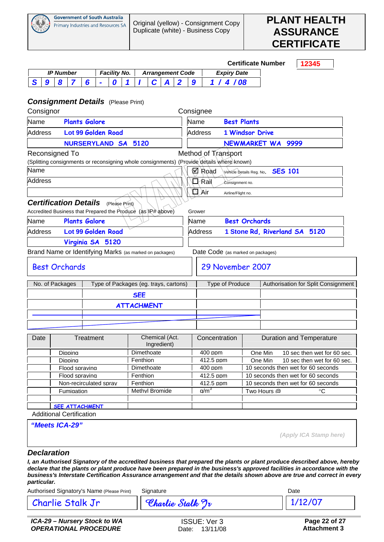![](_page_21_Picture_0.jpeg)

![](_page_21_Picture_3.jpeg)

|                                                                                              |                                             |                  |                                                          |           |  |  |   |                     |                |                      |                   |                                       |                   |                                                        |                        |                                                                                           |                                                                          | <b>Certificate Number</b>               |  | 12345                       |    |  |  |
|----------------------------------------------------------------------------------------------|---------------------------------------------|------------------|----------------------------------------------------------|-----------|--|--|---|---------------------|----------------|----------------------|-------------------|---------------------------------------|-------------------|--------------------------------------------------------|------------------------|-------------------------------------------------------------------------------------------|--------------------------------------------------------------------------|-----------------------------------------|--|-----------------------------|----|--|--|
|                                                                                              |                                             | <b>IP Number</b> |                                                          |           |  |  |   | <b>Facility No.</b> |                |                      |                   | <b>Arrangement Code</b>               |                   |                                                        |                        | <b>Expiry Date</b>                                                                        |                                                                          |                                         |  |                             |    |  |  |
| S                                                                                            | $\boldsymbol{9}$                            | 8                | 7                                                        | 6         |  |  | 0 |                     |                |                      | C                 | $\boldsymbol{A}$                      | $\overline{2}$    | 9                                                      | 1/                     | 4/08                                                                                      |                                                                          |                                         |  |                             |    |  |  |
| <b>Consignment Details</b> (Please Print)                                                    |                                             |                  |                                                          |           |  |  |   |                     |                |                      |                   |                                       |                   |                                                        |                        |                                                                                           |                                                                          |                                         |  |                             |    |  |  |
| Consignor                                                                                    |                                             |                  |                                                          |           |  |  |   |                     |                |                      |                   |                                       |                   |                                                        | Consignee              |                                                                                           |                                                                          |                                         |  |                             |    |  |  |
| Name                                                                                         |                                             |                  | <b>Plants Galore</b>                                     |           |  |  |   |                     |                |                      |                   |                                       |                   | Name                                                   |                        |                                                                                           | <b>Best Plants</b>                                                       |                                         |  |                             |    |  |  |
| <b>Address</b>                                                                               |                                             |                  | Lot 99 Golden Road                                       |           |  |  |   |                     |                |                      |                   |                                       |                   |                                                        | <b>Address</b>         |                                                                                           | <b>1 Windsor Drive</b>                                                   |                                         |  |                             |    |  |  |
| <b>NURSERYLAND SA</b><br>5120                                                                |                                             |                  |                                                          |           |  |  |   |                     |                |                      |                   |                                       | NEWMARKET WA 9999 |                                                        |                        |                                                                                           |                                                                          |                                         |  |                             |    |  |  |
| Reconsigned To                                                                               |                                             |                  |                                                          |           |  |  |   |                     |                |                      |                   |                                       |                   |                                                        |                        | Method of Transport                                                                       |                                                                          |                                         |  |                             |    |  |  |
|                                                                                              |                                             |                  |                                                          |           |  |  |   |                     |                |                      |                   |                                       |                   |                                                        |                        | (Splitting consignments or reconsigning whole consignments) (Provide details where known) |                                                                          |                                         |  |                             |    |  |  |
| Name                                                                                         |                                             |                  |                                                          |           |  |  |   |                     |                |                      |                   |                                       |                   |                                                        | ⊠ Road                 |                                                                                           |                                                                          | Vehicle Details Reg. No. <b>SES 101</b> |  |                             |    |  |  |
|                                                                                              | <b>Address</b><br>⊒∕Raìl<br>Consignment no. |                  |                                                          |           |  |  |   |                     |                |                      |                   |                                       |                   |                                                        |                        |                                                                                           |                                                                          |                                         |  |                             |    |  |  |
|                                                                                              | $\Box$ Air<br>Airline/Flight no.            |                  |                                                          |           |  |  |   |                     |                |                      |                   |                                       |                   |                                                        |                        |                                                                                           |                                                                          |                                         |  |                             |    |  |  |
| <b>Certification Details</b><br>Accredited Business that Prepared the Produce (as IP# above) |                                             |                  |                                                          |           |  |  |   | (Please Print)      |                |                      |                   |                                       |                   |                                                        | Grower                 |                                                                                           |                                                                          |                                         |  |                             |    |  |  |
| <b>Plants Galore</b><br>Name                                                                 |                                             |                  |                                                          |           |  |  |   | Name                |                | <b>Best Orchards</b> |                   |                                       |                   |                                                        |                        |                                                                                           |                                                                          |                                         |  |                             |    |  |  |
| Lot 99 Golden Road<br><b>Address</b>                                                         |                                             |                  |                                                          |           |  |  |   |                     | <b>Address</b> |                      |                   | 1 Stone Rd, Riverland SA 5120         |                   |                                                        |                        |                                                                                           |                                                                          |                                         |  |                             |    |  |  |
| Virginia SA 5120                                                                             |                                             |                  |                                                          |           |  |  |   |                     |                |                      |                   |                                       |                   |                                                        |                        |                                                                                           |                                                                          |                                         |  |                             |    |  |  |
| Brand Name or Identifying Marks (as marked on packages)                                      |                                             |                  |                                                          |           |  |  |   |                     |                |                      |                   |                                       |                   |                                                        |                        | Date Code (as marked on packages)                                                         |                                                                          |                                         |  |                             |    |  |  |
|                                                                                              |                                             |                  | <b>Best Orchards</b>                                     |           |  |  |   |                     |                |                      |                   |                                       |                   | 29 November 2007                                       |                        |                                                                                           |                                                                          |                                         |  |                             |    |  |  |
| No. of Packages                                                                              |                                             |                  |                                                          |           |  |  |   |                     |                |                      |                   | Type of Packages (eg. trays, cartons) |                   | Type of Produce<br>Authorisation for Split Consignment |                        |                                                                                           |                                                                          |                                         |  |                             |    |  |  |
|                                                                                              |                                             |                  |                                                          |           |  |  |   |                     |                | <b>SEE</b>           |                   |                                       |                   |                                                        |                        |                                                                                           |                                                                          |                                         |  |                             |    |  |  |
|                                                                                              |                                             |                  |                                                          |           |  |  |   |                     |                |                      | <b>ATTACHMENT</b> |                                       |                   |                                                        |                        |                                                                                           |                                                                          |                                         |  |                             |    |  |  |
|                                                                                              |                                             |                  |                                                          |           |  |  |   |                     |                |                      |                   |                                       |                   |                                                        |                        |                                                                                           |                                                                          |                                         |  |                             |    |  |  |
|                                                                                              |                                             |                  |                                                          |           |  |  |   |                     |                |                      |                   |                                       |                   |                                                        |                        |                                                                                           |                                                                          |                                         |  |                             |    |  |  |
| Date                                                                                         |                                             |                  |                                                          | Treatment |  |  |   |                     |                |                      |                   | Chemical (Act.<br>Ingredient)         |                   |                                                        | Concentration          |                                                                                           |                                                                          | <b>Duration and Temperature</b>         |  |                             |    |  |  |
|                                                                                              |                                             |                  | Dippina                                                  |           |  |  |   |                     |                |                      | Dimethoate        |                                       |                   |                                                        | $400$ ppm              |                                                                                           |                                                                          | One Min                                 |  | 10 sec then wet for 60 sec. |    |  |  |
|                                                                                              |                                             |                  | Dippina                                                  |           |  |  |   |                     |                | Fenthion             |                   |                                       |                   |                                                        | 412.5 ppm              |                                                                                           |                                                                          | One Min                                 |  | 10 sec then wet for 60 sec. |    |  |  |
|                                                                                              |                                             |                  | Flood spraving<br>Flood spraving                         |           |  |  |   |                     |                | Fenthion             | Dimethoate        |                                       |                   |                                                        | $400$ ppm<br>412.5 ppm |                                                                                           |                                                                          | 10 seconds then wet for 60 seconds      |  |                             |    |  |  |
|                                                                                              |                                             |                  | Non-recirculated sprav                                   |           |  |  |   |                     |                | Fenthion             |                   |                                       |                   |                                                        | 412.5 ppm              |                                                                                           | 10 seconds then wet for 60 seconds<br>10 seconds then wet for 60 seconds |                                         |  |                             |    |  |  |
|                                                                                              |                                             |                  | Fumigation                                               |           |  |  |   |                     |                |                      |                   | Methyl Bromide                        |                   |                                                        | a/m <sup>3</sup>       |                                                                                           |                                                                          | Two Hours @                             |  |                             | °C |  |  |
|                                                                                              |                                             |                  |                                                          |           |  |  |   |                     |                |                      |                   |                                       |                   |                                                        |                        |                                                                                           |                                                                          |                                         |  |                             |    |  |  |
|                                                                                              |                                             |                  | <b>SEE ATTACHMENT</b><br><b>Additional Certification</b> |           |  |  |   |                     |                |                      |                   |                                       |                   |                                                        |                        |                                                                                           |                                                                          |                                         |  |                             |    |  |  |
|                                                                                              |                                             |                  |                                                          |           |  |  |   |                     |                |                      |                   |                                       |                   |                                                        |                        |                                                                                           |                                                                          |                                         |  |                             |    |  |  |
|                                                                                              |                                             |                  | "Meets ICA-29"                                           |           |  |  |   |                     |                |                      |                   |                                       |                   |                                                        |                        |                                                                                           |                                                                          |                                         |  | (Apply ICA Stamp here)      |    |  |  |

#### *Declaration*

*I, an Authorised Signatory of the accredited business that prepared the plants or plant produce described above, hereby declare that the plants or plant produce have been prepared in the business's approved facilities in accordance with the business's Interstate Certification Assurance arrangement and that the details shown above are true and correct in every particular.* 

Authorised Signatory's Name (Please Print) Signature Communication Control Date

Charlie Stalk Jr **Charlie Stalk Jr** 1/12/07

*ICA-29 – Nursery Stock to WA OPERATIONAL PROCEDURE* 

ISSUE: Ver 3 Date: 13/11/08

 **Page 22 of 27 Attachment 3**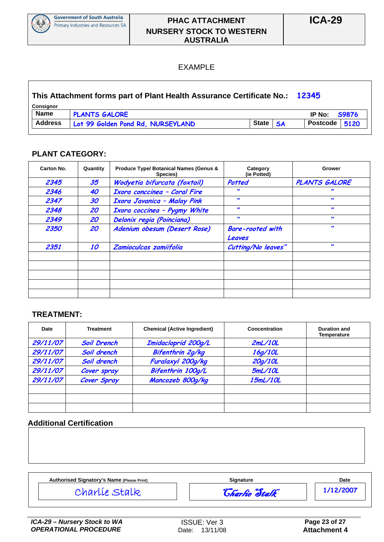![](_page_22_Picture_0.jpeg)

#### **PHAC ATTACHMENT NURSERY STOCK TO WESTERN AUSTRALIA**

#### EXAMPLE

| This Attachment forms part of Plant Health Assurance Certificate No.: 12345 |                                   |          |                     |  |
|-----------------------------------------------------------------------------|-----------------------------------|----------|---------------------|--|
| Consignor                                                                   |                                   |          |                     |  |
| <b>Name</b>                                                                 | <b>PLANTS GALORE</b>              |          | IP No: <b>S9876</b> |  |
| <b>Address</b>                                                              | Lot 99 Golden Pond Rd, NURSEYLAND | State SA | Postcode $ 5120$    |  |

#### **PLANT CATEGORY:**

| Carton No. | Quantity | <b>Produce Type/ Botanical Names (Genus &amp;</b><br>Species) | Category<br>(ie Potted)           | Grower               |
|------------|----------|---------------------------------------------------------------|-----------------------------------|----------------------|
| 2345       | 35       | Wodyetia bifurcata (foxtail)                                  | Potted                            | <b>PLANTS GALORE</b> |
| 2346       | 40       | Ixora conccinea - Coral Fire                                  |                                   |                      |
| 2347       | 30       | <b>Ixora Javanica - Malay Pink</b>                            | $\bullet$                         | $\bullet$            |
| 2348       | 20       | Ixora coccinea - Pygmy White                                  | $\bullet\bullet$                  | $\bullet$            |
| 2349       | 20       | Delonix regia (Poinciana)                                     | $\bullet$                         | $\bullet\bullet$     |
| 2350       | 20       | Adenium obesum (Desert Rose)                                  | <b>Bare-rooted with</b><br>Leaves | $\bullet$            |
| 2351       | 10       | Zamioculcas zamiifolia                                        | Cutting/No leaves"                | $\bullet$            |
|            |          |                                                               |                                   |                      |
|            |          |                                                               |                                   |                      |
|            |          |                                                               |                                   |                      |
|            |          |                                                               |                                   |                      |

#### **TREATMENT:**

| Date     | <b>Treatment</b>   | <b>Chemical (Active Ingredient)</b> | Concentration | <b>Duration and</b><br><b>Temperature</b> |
|----------|--------------------|-------------------------------------|---------------|-------------------------------------------|
| 29/11/07 | <b>Soil Drench</b> | Imidacloprid 200g/L                 | 2mL/10L       |                                           |
| 29/11/07 | Soil drench        | Bifenthrin 2g/kg                    | 16g/10L       |                                           |
| 29/11/07 | Soil drench        | Furalaxyl 200g/kg                   | 20g/10L       |                                           |
| 29/11/07 | Cover spray        | Bifenthrin 100g/L                   | 5mL/10L       |                                           |
| 29/11/07 | Cover Spray        | Mancozeb 800g/kg                    | 15mL/10L      |                                           |
|          |                    |                                     |               |                                           |
|          |                    |                                     |               |                                           |
|          |                    |                                     |               |                                           |

#### **Additional Certification**

| Authorised Signatory's Name (Please Print) | <b>Signature</b>     | Date      |
|--------------------------------------------|----------------------|-----------|
| Charlíe Stalk                              | <b>Charlie Stalk</b> | 1/12/2007 |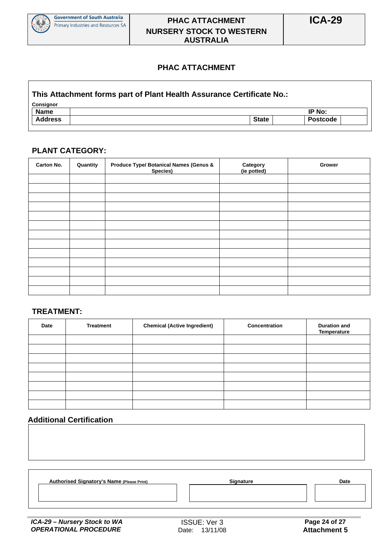![](_page_23_Picture_0.jpeg)

#### **PHAC ATTACHMENT NURSERY STOCK TO WESTERN AUSTRALIA**

#### **PHAC ATTACHMENT**

#### **This Attachment forms part of Plant Health Assurance Certificate No.:**

| <b>Consignor</b> |              |          |  |  |  |  |
|------------------|--------------|----------|--|--|--|--|
| <b>Name</b>      |              | IP No:   |  |  |  |  |
| <b>Address</b>   | <b>State</b> | Postcode |  |  |  |  |

#### **PLANT CATEGORY:**

| Carton No. | Quantity | <b>Produce Type/ Botanical Names (Genus &amp;</b><br>Species) | Category<br>(ie potted) | Grower |
|------------|----------|---------------------------------------------------------------|-------------------------|--------|
|            |          |                                                               |                         |        |
|            |          |                                                               |                         |        |
|            |          |                                                               |                         |        |
|            |          |                                                               |                         |        |
|            |          |                                                               |                         |        |
|            |          |                                                               |                         |        |
|            |          |                                                               |                         |        |
|            |          |                                                               |                         |        |
|            |          |                                                               |                         |        |
|            |          |                                                               |                         |        |
|            |          |                                                               |                         |        |
|            |          |                                                               |                         |        |
|            |          |                                                               |                         |        |

#### **TREATMENT:**

| Date | <b>Treatment</b> | <b>Chemical (Active Ingredient)</b> | Concentration | <b>Duration and</b><br>Temperature |
|------|------------------|-------------------------------------|---------------|------------------------------------|
|      |                  |                                     |               |                                    |
|      |                  |                                     |               |                                    |
|      |                  |                                     |               |                                    |
|      |                  |                                     |               |                                    |
|      |                  |                                     |               |                                    |
|      |                  |                                     |               |                                    |
|      |                  |                                     |               |                                    |
|      |                  |                                     |               |                                    |

#### **Additional Certification**

| <b>Authorised Signatory's Name (Please Print)</b> | <b>Signature</b> | Date |
|---------------------------------------------------|------------------|------|
|                                                   |                  |      |
|                                                   |                  |      |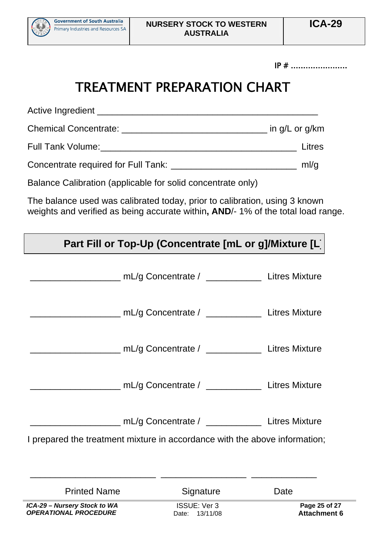![](_page_24_Picture_0.jpeg)

Ĩ.

 $IP \#$  ...........................

## TREATMENT PREPARATION CHART

Active Ingredient \_\_\_\_\_\_\_\_\_\_\_\_\_\_\_\_\_\_\_\_\_\_\_\_\_\_\_\_\_\_\_\_\_\_\_\_\_\_\_\_\_\_\_\_ Chemical Concentrate: \_\_\_\_\_\_\_\_\_\_\_\_\_\_\_\_\_\_\_\_\_\_\_\_\_\_\_\_\_ in g/L or g/km

Full Tank Volume:\_\_\_\_\_\_\_\_\_\_\_\_\_\_\_\_\_\_\_\_\_\_\_\_\_\_\_\_\_\_\_\_\_\_\_\_\_\_\_ Litres

Concentrate required for Full Tank: \_\_\_\_\_\_\_\_\_\_\_\_\_\_\_\_\_\_\_\_\_\_\_\_\_ ml/g

Balance Calibration (applicable for solid concentrate only)

The balance used was calibrated today, prior to calibration, using 3 known weights and verified as being accurate within**, AND**/- 1% of the total load range.

| Part Fill or Top-Up (Concentrate [mL or g]/Mixture [L]                     |                                                               |                                      |  |  |  |  |
|----------------------------------------------------------------------------|---------------------------------------------------------------|--------------------------------------|--|--|--|--|
|                                                                            | ___________ mL/g Concentrate / _______________ Litres Mixture |                                      |  |  |  |  |
|                                                                            | mL/g Concentrate / _________________ Litres Mixture           |                                      |  |  |  |  |
|                                                                            | ____________ mL/g Concentrate / ______________ Litres Mixture |                                      |  |  |  |  |
|                                                                            | ___ mL/g Concentrate / _____________ Litres Mixture           |                                      |  |  |  |  |
| I prepared the treatment mixture in accordance with the above information; | mL/g Concentrate / ______________ Litres Mixture              |                                      |  |  |  |  |
| <b>Printed Name</b>                                                        | Signature                                                     | Date                                 |  |  |  |  |
| ICA-29 - Nursery Stock to WA<br><b>OPERATIONAL PROCEDURE</b>               | <b>ISSUE: Ver 3</b><br>Date: 13/11/08                         | Page 25 of 27<br><b>Attachment 6</b> |  |  |  |  |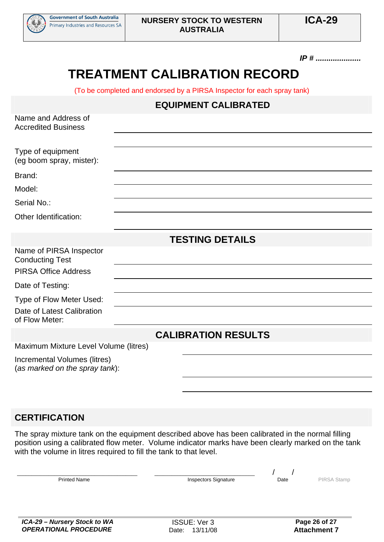![](_page_25_Picture_0.jpeg)

#### *IP # .....................*

## **TREATMENT CALIBRATION RECORD**

(To be completed and endorsed by a PIRSA Inspector for each spray tank)

#### **EQUIPMENT CALIBRATED**

| Name and Address of<br><b>Accredited Business</b>                                |                            |  |  |  |  |
|----------------------------------------------------------------------------------|----------------------------|--|--|--|--|
| Type of equipment<br>(eg boom spray, mister):                                    |                            |  |  |  |  |
| Brand:                                                                           |                            |  |  |  |  |
| Model:                                                                           |                            |  |  |  |  |
| Serial No.:                                                                      |                            |  |  |  |  |
| Other Identification:                                                            |                            |  |  |  |  |
|                                                                                  | <b>TESTING DETAILS</b>     |  |  |  |  |
| Name of PIRSA Inspector<br><b>Conducting Test</b><br><b>PIRSA Office Address</b> |                            |  |  |  |  |
| Date of Testing:                                                                 |                            |  |  |  |  |
| Type of Flow Meter Used:<br>Date of Latest Calibration<br>of Flow Meter:         |                            |  |  |  |  |
|                                                                                  | <b>CALIBRATION RESULTS</b> |  |  |  |  |
| Maximum Mixture Level Volume (litres)                                            |                            |  |  |  |  |
| Incremental Volumes (litres)<br>(as marked on the spray tank):                   |                            |  |  |  |  |

#### **CERTIFICATION**

The spray mixture tank on the equipment described above has been calibrated in the normal filling position using a calibrated flow meter. Volume indicator marks have been clearly marked on the tank with the volume in litres required to fill the tank to that level.

| <b>Printed Name</b> | Inspectors Signature | Date | . T O M M |
|---------------------|----------------------|------|-----------|
|                     |                      |      |           |